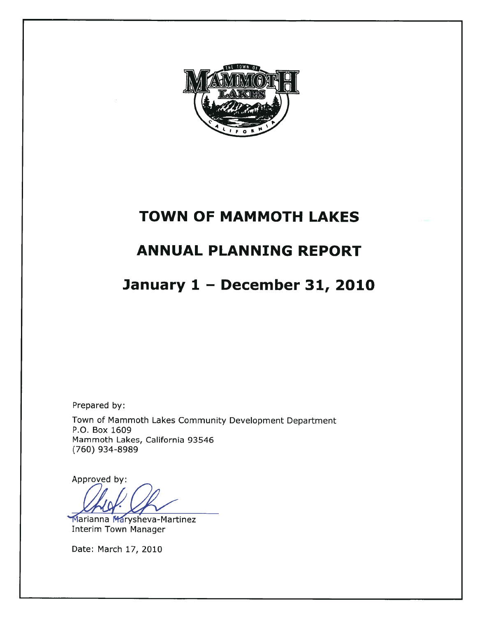

# **TOWN OF MAMMOTH LAKES**

# **ANNUAL PLANNING REPORT**

# January 1 - December 31, 2010

Prepared by:

Town of Mammoth Lakes Community Development Department P.O. Box 1609 Mammoth Lakes, California 93546 (760) 934-8989

Approved by:

Marianna Marysheva-Martinez **Interim Town Manager** 

Date: March 17, 2010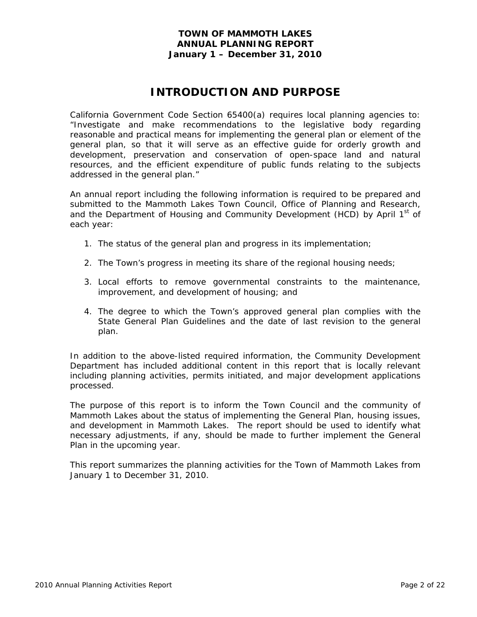# **INTRODUCTION AND PURPOSE**

California Government Code Section 65400(a) requires local planning agencies to: "Investigate and make recommendations to the legislative body regarding reasonable and practical means for implementing the general plan or element of the general plan, so that it will serve as an effective guide for orderly growth and development, preservation and conservation of open-space land and natural resources, and the efficient expenditure of public funds relating to the subjects addressed in the general plan."

An annual report including the following information is required to be prepared and submitted to the Mammoth Lakes Town Council, Office of Planning and Research, and the Department of Housing and Community Development (HCD) by April 1<sup>st</sup> of each year:

- 1. The status of the general plan and progress in its implementation;
- 2. The Town's progress in meeting its share of the regional housing needs;
- 3. Local efforts to remove governmental constraints to the maintenance, improvement, and development of housing; and
- 4. The degree to which the Town's approved general plan complies with the State General Plan Guidelines and the date of last revision to the general plan.

In addition to the above-listed required information, the Community Development Department has included additional content in this report that is locally relevant including planning activities, permits initiated, and major development applications processed.

The purpose of this report is to inform the Town Council and the community of Mammoth Lakes about the status of implementing the General Plan, housing issues, and development in Mammoth Lakes. The report should be used to identify what necessary adjustments, if any, should be made to further implement the General Plan in the upcoming year.

This report summarizes the planning activities for the Town of Mammoth Lakes from January 1 to December 31, 2010.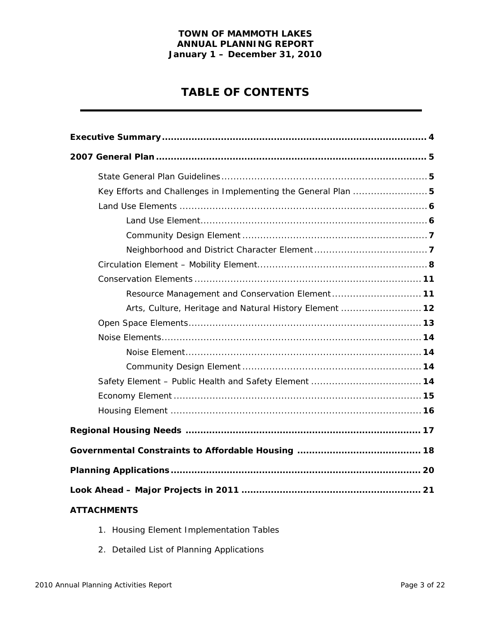# **TABLE OF CONTENTS**

| Key Efforts and Challenges in Implementing the General Plan  5 |
|----------------------------------------------------------------|
|                                                                |
|                                                                |
|                                                                |
|                                                                |
|                                                                |
|                                                                |
| Resource Management and Conservation Element 11                |
| Arts, Culture, Heritage and Natural History Element  12        |
|                                                                |
|                                                                |
|                                                                |
|                                                                |
|                                                                |
|                                                                |
|                                                                |
|                                                                |
|                                                                |
|                                                                |
|                                                                |
| <b>ATTACHMENTS</b>                                             |

- 1. Housing Element Implementation Tables
- 2. Detailed List of Planning Applications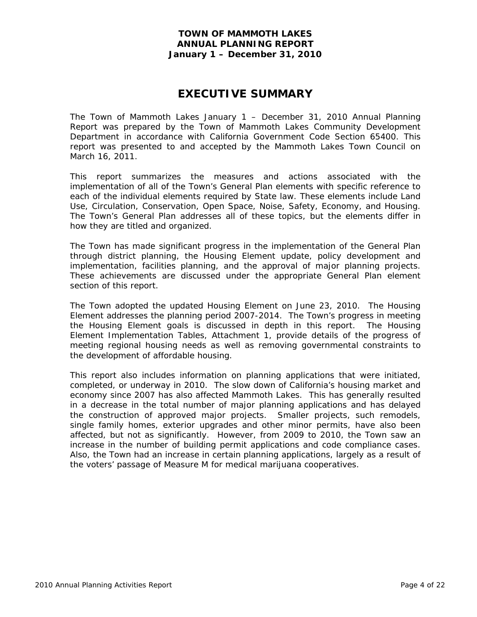# **EXECUTIVE SUMMARY**

The Town of Mammoth Lakes January 1 – December 31, 2010 Annual Planning Report was prepared by the Town of Mammoth Lakes Community Development Department in accordance with California Government Code Section 65400. This report was presented to and accepted by the Mammoth Lakes Town Council on March 16, 2011.

This report summarizes the measures and actions associated with the implementation of all of the Town's General Plan elements with specific reference to each of the individual elements required by State law. These elements include Land Use, Circulation, Conservation, Open Space, Noise, Safety, Economy, and Housing. The Town's General Plan addresses all of these topics, but the elements differ in how they are titled and organized.

The Town has made significant progress in the implementation of the General Plan through district planning, the Housing Element update, policy development and implementation, facilities planning, and the approval of major planning projects. These achievements are discussed under the appropriate General Plan element section of this report.

The Town adopted the updated Housing Element on June 23, 2010. The Housing Element addresses the planning period 2007-2014. The Town's progress in meeting the Housing Element goals is discussed in depth in this report. The Housing Element Implementation Tables, Attachment 1, provide details of the progress of meeting regional housing needs as well as removing governmental constraints to the development of affordable housing.

This report also includes information on planning applications that were initiated, completed, or underway in 2010. The slow down of California's housing market and economy since 2007 has also affected Mammoth Lakes. This has generally resulted in a decrease in the total number of major planning applications and has delayed the construction of approved major projects. Smaller projects, such remodels, single family homes, exterior upgrades and other minor permits, have also been affected, but not as significantly. However, from 2009 to 2010, the Town saw an increase in the number of building permit applications and code compliance cases. Also, the Town had an increase in certain planning applications, largely as a result of the voters' passage of Measure M for medical marijuana cooperatives.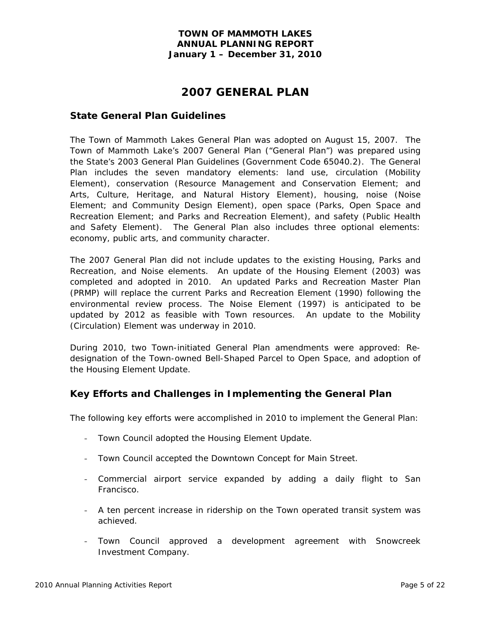# **2007 GENERAL PLAN**

### **State General Plan Guidelines**

The Town of Mammoth Lakes General Plan was adopted on August 15, 2007. The Town of Mammoth Lake's 2007 General Plan ("General Plan") was prepared using the State's 2003 General Plan Guidelines (Government Code 65040.2). The General Plan includes the seven mandatory elements: land use, circulation (Mobility Element), conservation (Resource Management and Conservation Element; and Arts, Culture, Heritage, and Natural History Element), housing, noise (Noise Element; and Community Design Element), open space (Parks, Open Space and Recreation Element; and Parks and Recreation Element), and safety (Public Health and Safety Element). The General Plan also includes three optional elements: economy, public arts, and community character.

The 2007 General Plan did not include updates to the existing Housing, Parks and Recreation, and Noise elements. An update of the Housing Element (2003) was completed and adopted in 2010. An updated Parks and Recreation Master Plan (PRMP) will replace the current Parks and Recreation Element (1990) following the environmental review process. The Noise Element (1997) is anticipated to be updated by 2012 as feasible with Town resources. An update to the Mobility (Circulation) Element was underway in 2010.

During 2010, two Town-initiated General Plan amendments were approved: Redesignation of the Town-owned Bell-Shaped Parcel to Open Space, and adoption of the Housing Element Update.

## **Key Efforts and Challenges in Implementing the General Plan**

The following key efforts were accomplished in 2010 to implement the General Plan:

- Town Council adopted the Housing Element Update.
- Town Council accepted the Downtown Concept for Main Street.
- Commercial airport service expanded by adding a daily flight to San Francisco.
- A ten percent increase in ridership on the Town operated transit system was achieved.
- Town Council approved a development agreement with Snowcreek Investment Company.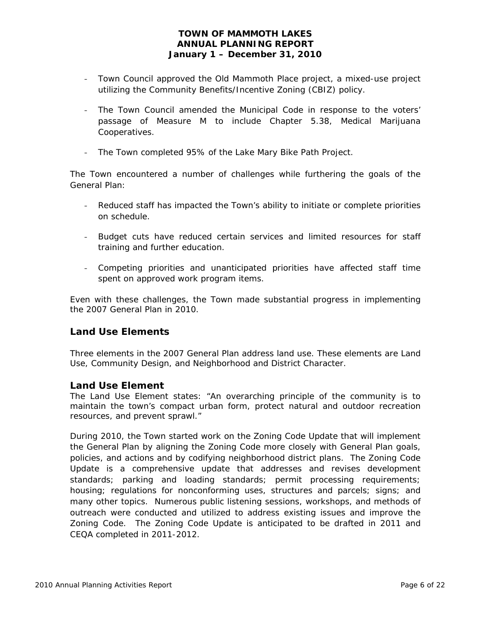- Town Council approved the Old Mammoth Place project, a mixed-use project utilizing the Community Benefits/Incentive Zoning (CBIZ) policy.
- The Town Council amended the Municipal Code in response to the voters' passage of Measure M to include Chapter 5.38, Medical Marijuana Cooperatives.
- The Town completed 95% of the Lake Mary Bike Path Project.

The Town encountered a number of challenges while furthering the goals of the General Plan:

- Reduced staff has impacted the Town's ability to initiate or complete priorities on schedule.
- Budget cuts have reduced certain services and limited resources for staff training and further education.
- Competing priorities and unanticipated priorities have affected staff time spent on approved work program items.

Even with these challenges, the Town made substantial progress in implementing the 2007 General Plan in 2010.

## **Land Use Elements**

Three elements in the 2007 General Plan address land use. These elements are Land Use, Community Design, and Neighborhood and District Character.

### *Land Use Element*

The Land Use Element states: "An overarching principle of the community is to maintain the town's compact urban form, protect natural and outdoor recreation resources, and prevent sprawl."

During 2010, the Town started work on the Zoning Code Update that will implement the General Plan by aligning the Zoning Code more closely with General Plan goals, policies, and actions and by codifying neighborhood district plans. The Zoning Code Update is a comprehensive update that addresses and revises development standards; parking and loading standards; permit processing requirements; housing; regulations for nonconforming uses, structures and parcels; signs; and many other topics. Numerous public listening sessions, workshops, and methods of outreach were conducted and utilized to address existing issues and improve the Zoning Code. The Zoning Code Update is anticipated to be drafted in 2011 and CEQA completed in 2011-2012.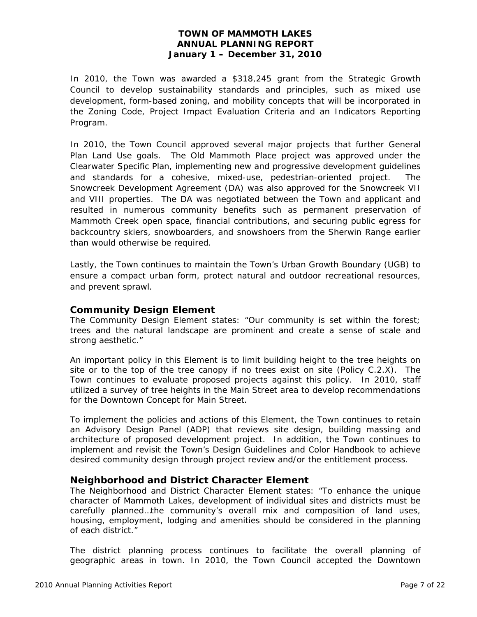In 2010, the Town was awarded a \$318,245 grant from the Strategic Growth Council to develop sustainability standards and principles, such as mixed use development, form-based zoning, and mobility concepts that will be incorporated in the Zoning Code, Project Impact Evaluation Criteria and an Indicators Reporting Program.

In 2010, the Town Council approved several major projects that further General Plan Land Use goals. The Old Mammoth Place project was approved under the Clearwater Specific Plan, implementing new and progressive development guidelines and standards for a cohesive, mixed-use, pedestrian-oriented project. The Snowcreek Development Agreement (DA) was also approved for the Snowcreek VII and VIII properties. The DA was negotiated between the Town and applicant and resulted in numerous community benefits such as permanent preservation of Mammoth Creek open space, financial contributions, and securing public egress for backcountry skiers, snowboarders, and snowshoers from the Sherwin Range earlier than would otherwise be required.

Lastly, the Town continues to maintain the Town's Urban Growth Boundary (UGB) to ensure a compact urban form, protect natural and outdoor recreational resources, and prevent sprawl.

### *Community Design Element*

The Community Design Element states: "Our community is set within the forest; trees and the natural landscape are prominent and create a sense of scale and strong aesthetic."

An important policy in this Element is to limit building height to the tree heights on site or to the top of the tree canopy if no trees exist on site (Policy C.2.X). The Town continues to evaluate proposed projects against this policy. In 2010, staff utilized a survey of tree heights in the Main Street area to develop recommendations for the Downtown Concept for Main Street.

To implement the policies and actions of this Element, the Town continues to retain an Advisory Design Panel (ADP) that reviews site design, building massing and architecture of proposed development project. In addition, the Town continues to implement and revisit the Town's Design Guidelines and Color Handbook to achieve desired community design through project review and/or the entitlement process.

## *Neighborhood and District Character Element*

The Neighborhood and District Character Element states: "To enhance the unique character of Mammoth Lakes, development of individual sites and districts must be carefully planned…the community's overall mix and composition of land uses, housing, employment, lodging and amenities should be considered in the planning of each district."

The district planning process continues to facilitate the overall planning of geographic areas in town. In 2010, the Town Council accepted the Downtown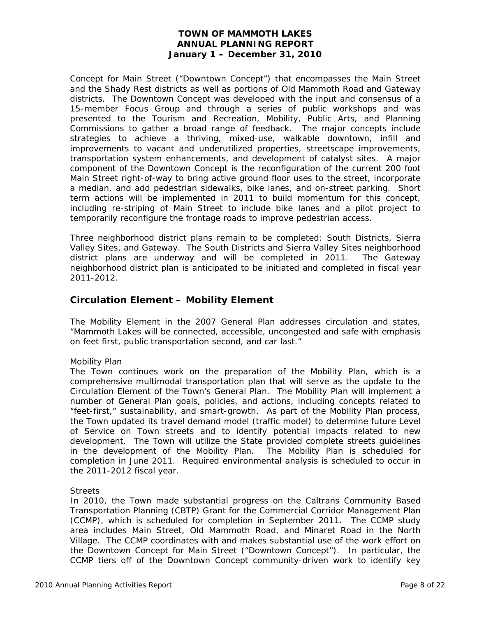Concept for Main Street ("Downtown Concept") that encompasses the Main Street and the Shady Rest districts as well as portions of Old Mammoth Road and Gateway districts. The Downtown Concept was developed with the input and consensus of a 15-member Focus Group and through a series of public workshops and was presented to the Tourism and Recreation, Mobility, Public Arts, and Planning Commissions to gather a broad range of feedback. The major concepts include strategies to achieve a thriving, mixed-use, walkable downtown, infill and improvements to vacant and underutilized properties, streetscape improvements, transportation system enhancements, and development of catalyst sites. A major component of the Downtown Concept is the reconfiguration of the current 200 foot Main Street right-of-way to bring active ground floor uses to the street, incorporate a median, and add pedestrian sidewalks, bike lanes, and on-street parking. Short term actions will be implemented in 2011 to build momentum for this concept, including re-striping of Main Street to include bike lanes and a pilot project to temporarily reconfigure the frontage roads to improve pedestrian access.

Three neighborhood district plans remain to be completed: South Districts, Sierra Valley Sites, and Gateway. The South Districts and Sierra Valley Sites neighborhood district plans are underway and will be completed in 2011. The Gateway neighborhood district plan is anticipated to be initiated and completed in fiscal year 2011-2012.

## **Circulation Element – Mobility Element**

The Mobility Element in the 2007 General Plan addresses circulation and states, "Mammoth Lakes will be connected, accessible, uncongested and safe with emphasis on feet first, public transportation second, and car last."

### *Mobility Plan*

The Town continues work on the preparation of the Mobility Plan, which is a comprehensive multimodal transportation plan that will serve as the update to the Circulation Element of the Town's General Plan. The Mobility Plan will implement a number of General Plan goals, policies, and actions, including concepts related to "feet-first," sustainability, and smart-growth. As part of the Mobility Plan process, the Town updated its travel demand model (traffic model) to determine future Level of Service on Town streets and to identify potential impacts related to new development. The Town will utilize the State provided complete streets guidelines in the development of the Mobility Plan. The Mobility Plan is scheduled for completion in June 2011. Required environmental analysis is scheduled to occur in the 2011-2012 fiscal year.

### *Streets*

In 2010, the Town made substantial progress on the Caltrans Community Based Transportation Planning (CBTP) Grant for the Commercial Corridor Management Plan (CCMP), which is scheduled for completion in September 2011. The CCMP study area includes Main Street, Old Mammoth Road, and Minaret Road in the North Village. The CCMP coordinates with and makes substantial use of the work effort on the Downtown Concept for Main Street ("Downtown Concept"). In particular, the CCMP tiers off of the Downtown Concept community-driven work to identify key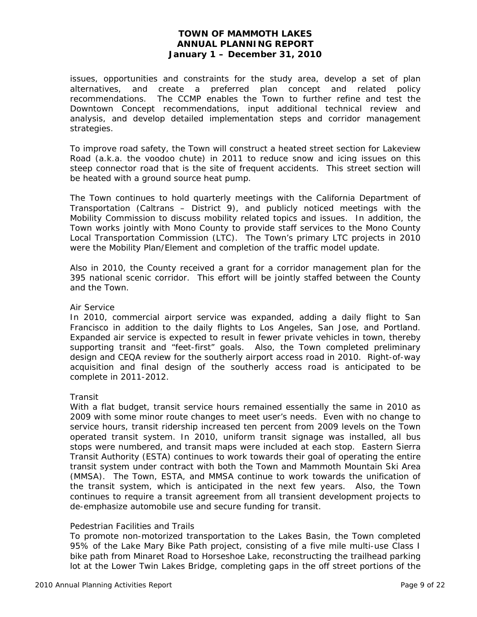issues, opportunities and constraints for the study area, develop a set of plan alternatives, and create a preferred plan concept and related policy recommendations. The CCMP enables the Town to further refine and test the Downtown Concept recommendations, input additional technical review and analysis, and develop detailed implementation steps and corridor management strategies.

To improve road safety, the Town will construct a heated street section for Lakeview Road (a.k.a. the voodoo chute) in 2011 to reduce snow and icing issues on this steep connector road that is the site of frequent accidents. This street section will be heated with a ground source heat pump.

The Town continues to hold quarterly meetings with the California Department of Transportation (Caltrans – District 9), and publicly noticed meetings with the Mobility Commission to discuss mobility related topics and issues. In addition, the Town works jointly with Mono County to provide staff services to the Mono County Local Transportation Commission (LTC). The Town's primary LTC projects in 2010 were the Mobility Plan/Element and completion of the traffic model update.

Also in 2010, the County received a grant for a corridor management plan for the 395 national scenic corridor. This effort will be jointly staffed between the County and the Town.

#### *Air Service*

In 2010, commercial airport service was expanded, adding a daily flight to San Francisco in addition to the daily flights to Los Angeles, San Jose, and Portland. Expanded air service is expected to result in fewer private vehicles in town, thereby supporting transit and "feet-first" goals. Also, the Town completed preliminary design and CEQA review for the southerly airport access road in 2010. Right-of-way acquisition and final design of the southerly access road is anticipated to be complete in 2011-2012.

### *Transit*

With a flat budget, transit service hours remained essentially the same in 2010 as 2009 with some minor route changes to meet user's needs. Even with no change to service hours, transit ridership increased ten percent from 2009 levels on the Town operated transit system. In 2010, uniform transit signage was installed, all bus stops were numbered, and transit maps were included at each stop. Eastern Sierra Transit Authority (ESTA) continues to work towards their goal of operating the entire transit system under contract with both the Town and Mammoth Mountain Ski Area (MMSA). The Town, ESTA, and MMSA continue to work towards the unification of the transit system, which is anticipated in the next few years. Also, the Town continues to require a transit agreement from all transient development projects to de-emphasize automobile use and secure funding for transit.

### *Pedestrian Facilities and Trails*

To promote non-motorized transportation to the Lakes Basin, the Town completed 95% of the Lake Mary Bike Path project, consisting of a five mile multi-use Class I bike path from Minaret Road to Horseshoe Lake, reconstructing the trailhead parking lot at the Lower Twin Lakes Bridge, completing gaps in the off street portions of the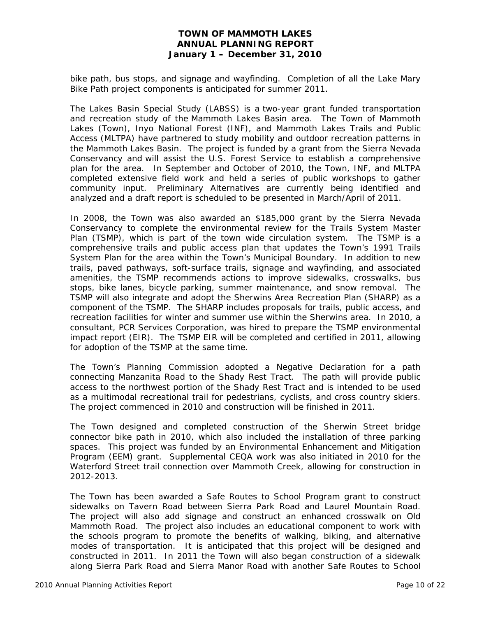bike path, bus stops, and signage and wayfinding. Completion of all the Lake Mary Bike Path project components is anticipated for summer 2011.

The Lakes Basin Special Study (LABSS) is a two-year grant funded transportation and recreation study of the Mammoth Lakes Basin area. The Town of Mammoth Lakes (Town), Inyo National Forest (INF), and Mammoth Lakes Trails and Public Access (MLTPA) have partnered to study mobility and outdoor recreation patterns in the Mammoth Lakes Basin. The project is funded by a grant from the Sierra Nevada Conservancy and will assist the U.S. Forest Service to establish a comprehensive plan for the area. In September and October of 2010, the Town, INF, and MLTPA completed extensive field work and held a series of public workshops to gather community input. Preliminary Alternatives are currently being identified and analyzed and a draft report is scheduled to be presented in March/April of 2011.

In 2008, the Town was also awarded an \$185,000 grant by the Sierra Nevada Conservancy to complete the environmental review for the Trails System Master Plan (TSMP), which is part of the town wide circulation system. The TSMP is a comprehensive trails and public access plan that updates the Town's 1991 Trails System Plan for the area within the Town's Municipal Boundary. In addition to new trails, paved pathways, soft-surface trails, signage and wayfinding, and associated amenities, the TSMP recommends actions to improve sidewalks, crosswalks, bus stops, bike lanes, bicycle parking, summer maintenance, and snow removal. The TSMP will also integrate and adopt the Sherwins Area Recreation Plan (SHARP) as a component of the TSMP. The SHARP includes proposals for trails, public access, and recreation facilities for winter and summer use within the Sherwins area. In 2010, a consultant, PCR Services Corporation, was hired to prepare the TSMP environmental impact report (EIR). The TSMP EIR will be completed and certified in 2011, allowing for adoption of the TSMP at the same time.

The Town's Planning Commission adopted a Negative Declaration for a path connecting Manzanita Road to the Shady Rest Tract. The path will provide public access to the northwest portion of the Shady Rest Tract and is intended to be used as a multimodal recreational trail for pedestrians, cyclists, and cross country skiers. The project commenced in 2010 and construction will be finished in 2011.

The Town designed and completed construction of the Sherwin Street bridge connector bike path in 2010, which also included the installation of three parking spaces. This project was funded by an Environmental Enhancement and Mitigation Program (EEM) grant. Supplemental CEQA work was also initiated in 2010 for the Waterford Street trail connection over Mammoth Creek, allowing for construction in 2012-2013.

The Town has been awarded a Safe Routes to School Program grant to construct sidewalks on Tavern Road between Sierra Park Road and Laurel Mountain Road. The project will also add signage and construct an enhanced crosswalk on Old Mammoth Road. The project also includes an educational component to work with the schools program to promote the benefits of walking, biking, and alternative modes of transportation. It is anticipated that this project will be designed and constructed in 2011. In 2011 the Town will also began construction of a sidewalk along Sierra Park Road and Sierra Manor Road with another Safe Routes to School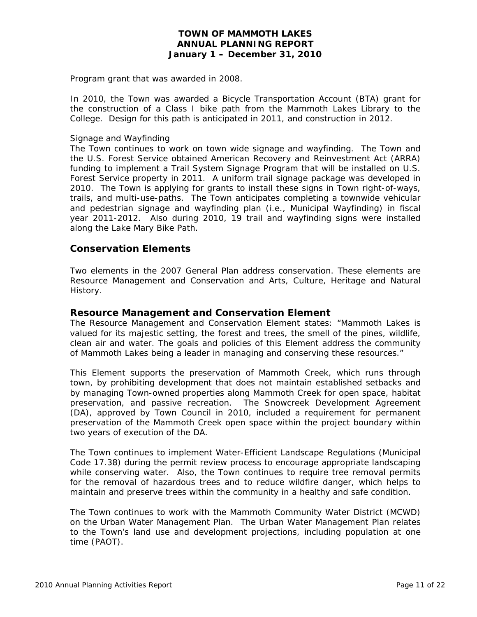Program grant that was awarded in 2008.

In 2010, the Town was awarded a Bicycle Transportation Account (BTA) grant for the construction of a Class I bike path from the Mammoth Lakes Library to the College. Design for this path is anticipated in 2011, and construction in 2012.

#### *Signage and Wayfinding*

The Town continues to work on town wide signage and wayfinding. The Town and the U.S. Forest Service obtained American Recovery and Reinvestment Act (ARRA) funding to implement a Trail System Signage Program that will be installed on U.S. Forest Service property in 2011. A uniform trail signage package was developed in 2010. The Town is applying for grants to install these signs in Town right-of-ways, trails, and multi-use-paths. The Town anticipates completing a townwide vehicular and pedestrian signage and wayfinding plan (i.e., Municipal Wayfinding) in fiscal year 2011-2012. Also during 2010, 19 trail and wayfinding signs were installed along the Lake Mary Bike Path.

### **Conservation Elements**

Two elements in the 2007 General Plan address conservation. These elements are Resource Management and Conservation and Arts, Culture, Heritage and Natural History.

### *Resource Management and Conservation Element*

The Resource Management and Conservation Element states: "Mammoth Lakes is valued for its majestic setting, the forest and trees, the smell of the pines, wildlife, clean air and water. The goals and policies of this Element address the community of Mammoth Lakes being a leader in managing and conserving these resources."

This Element supports the preservation of Mammoth Creek, which runs through town, by prohibiting development that does not maintain established setbacks and by managing Town-owned properties along Mammoth Creek for open space, habitat preservation, and passive recreation. The Snowcreek Development Agreement (DA), approved by Town Council in 2010, included a requirement for permanent preservation of the Mammoth Creek open space within the project boundary within two years of execution of the DA.

The Town continues to implement Water-Efficient Landscape Regulations (Municipal Code 17.38) during the permit review process to encourage appropriate landscaping while conserving water. Also, the Town continues to require tree removal permits for the removal of hazardous trees and to reduce wildfire danger, which helps to maintain and preserve trees within the community in a healthy and safe condition.

The Town continues to work with the Mammoth Community Water District (MCWD) on the Urban Water Management Plan. The Urban Water Management Plan relates to the Town's land use and development projections, including population at one time (PAOT).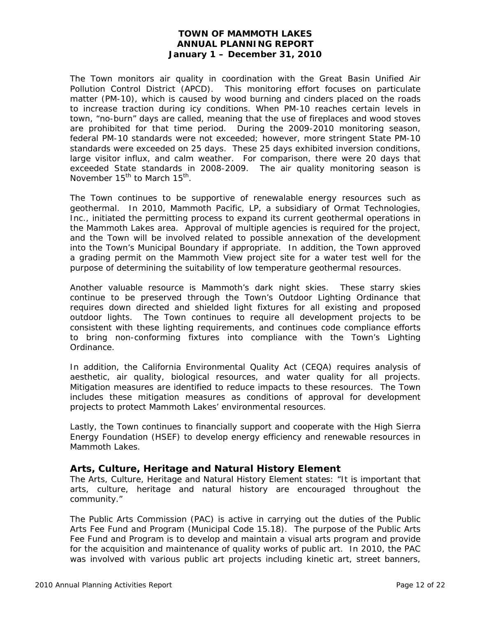The Town monitors air quality in coordination with the Great Basin Unified Air Pollution Control District (APCD). This monitoring effort focuses on particulate matter (PM-10), which is caused by wood burning and cinders placed on the roads to increase traction during icy conditions. When PM-10 reaches certain levels in town, "no-burn" days are called, meaning that the use of fireplaces and wood stoves are prohibited for that time period. During the 2009-2010 monitoring season, federal PM-10 standards were not exceeded; however, more stringent State PM-10 standards were exceeded on 25 days. These 25 days exhibited inversion conditions, large visitor influx, and calm weather. For comparison, there were 20 days that exceeded State standards in 2008-2009. The air quality monitoring season is November 15<sup>th</sup> to March 15<sup>th</sup>.

The Town continues to be supportive of renewalable energy resources such as geothermal. In 2010, Mammoth Pacific, LP, a subsidiary of Ormat Technologies, Inc., initiated the permitting process to expand its current geothermal operations in the Mammoth Lakes area. Approval of multiple agencies is required for the project, and the Town will be involved related to possible annexation of the development into the Town's Municipal Boundary if appropriate. In addition, the Town approved a grading permit on the Mammoth View project site for a water test well for the purpose of determining the suitability of low temperature geothermal resources.

Another valuable resource is Mammoth's dark night skies. These starry skies continue to be preserved through the Town's Outdoor Lighting Ordinance that requires down directed and shielded light fixtures for all existing and proposed outdoor lights. The Town continues to require all development projects to be consistent with these lighting requirements, and continues code compliance efforts to bring non-conforming fixtures into compliance with the Town's Lighting Ordinance.

In addition, the California Environmental Quality Act (CEQA) requires analysis of aesthetic, air quality, biological resources, and water quality for all projects. Mitigation measures are identified to reduce impacts to these resources. The Town includes these mitigation measures as conditions of approval for development projects to protect Mammoth Lakes' environmental resources.

Lastly, the Town continues to financially support and cooperate with the High Sierra Energy Foundation (HSEF) to develop energy efficiency and renewable resources in Mammoth Lakes.

## *Arts, Culture, Heritage and Natural History Element*

The Arts, Culture, Heritage and Natural History Element states: "It is important that arts, culture, heritage and natural history are encouraged throughout the community."

The Public Arts Commission (PAC) is active in carrying out the duties of the Public Arts Fee Fund and Program (Municipal Code 15.18). The purpose of the Public Arts Fee Fund and Program is to develop and maintain a visual arts program and provide for the acquisition and maintenance of quality works of public art. In 2010, the PAC was involved with various public art projects including kinetic art, street banners,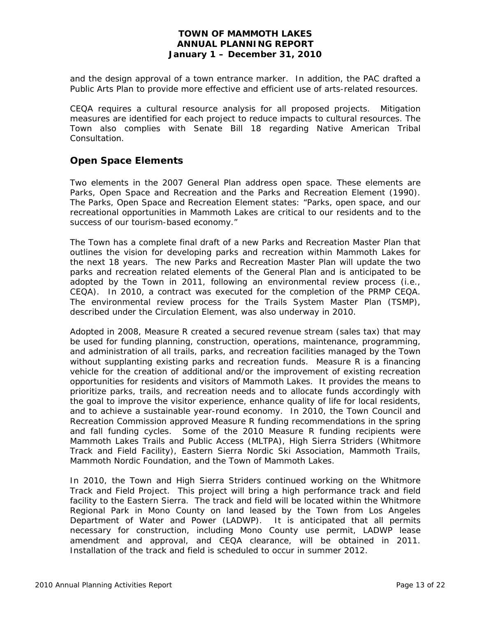and the design approval of a town entrance marker. In addition, the PAC drafted a Public Arts Plan to provide more effective and efficient use of arts-related resources.

CEQA requires a cultural resource analysis for all proposed projects. Mitigation measures are identified for each project to reduce impacts to cultural resources. The Town also complies with Senate Bill 18 regarding Native American Tribal Consultation.

# **Open Space Elements**

Two elements in the 2007 General Plan address open space. These elements are Parks, Open Space and Recreation and the Parks and Recreation Element (1990). The Parks, Open Space and Recreation Element states: "Parks, open space, and our recreational opportunities in Mammoth Lakes are critical to our residents and to the success of our tourism-based economy."

The Town has a complete final draft of a new Parks and Recreation Master Plan that outlines the vision for developing parks and recreation within Mammoth Lakes for the next 18 years. The new Parks and Recreation Master Plan will update the two parks and recreation related elements of the General Plan and is anticipated to be adopted by the Town in 2011, following an environmental review process (i.e., CEQA). In 2010, a contract was executed for the completion of the PRMP CEQA. The environmental review process for the Trails System Master Plan (TSMP), described under the Circulation Element, was also underway in 2010.

Adopted in 2008, Measure R created a secured revenue stream (sales tax) that may be used for funding planning, construction, operations, maintenance, programming, and administration of all trails, parks, and recreation facilities managed by the Town without supplanting existing parks and recreation funds. Measure R is a financing vehicle for the creation of additional and/or the improvement of existing recreation opportunities for residents and visitors of Mammoth Lakes. It provides the means to prioritize parks, trails, and recreation needs and to allocate funds accordingly with the goal to improve the visitor experience, enhance quality of life for local residents, and to achieve a sustainable year-round economy. In 2010, the Town Council and Recreation Commission approved Measure R funding recommendations in the spring and fall funding cycles. Some of the 2010 Measure R funding recipients were Mammoth Lakes Trails and Public Access (MLTPA), High Sierra Striders (Whitmore Track and Field Facility), Eastern Sierra Nordic Ski Association, Mammoth Trails, Mammoth Nordic Foundation, and the Town of Mammoth Lakes.

In 2010, the Town and High Sierra Striders continued working on the Whitmore Track and Field Project. This project will bring a high performance track and field facility to the Eastern Sierra. The track and field will be located within the Whitmore Regional Park in Mono County on land leased by the Town from Los Angeles Department of Water and Power (LADWP). It is anticipated that all permits necessary for construction, including Mono County use permit, LADWP lease amendment and approval, and CEQA clearance, will be obtained in 2011. Installation of the track and field is scheduled to occur in summer 2012.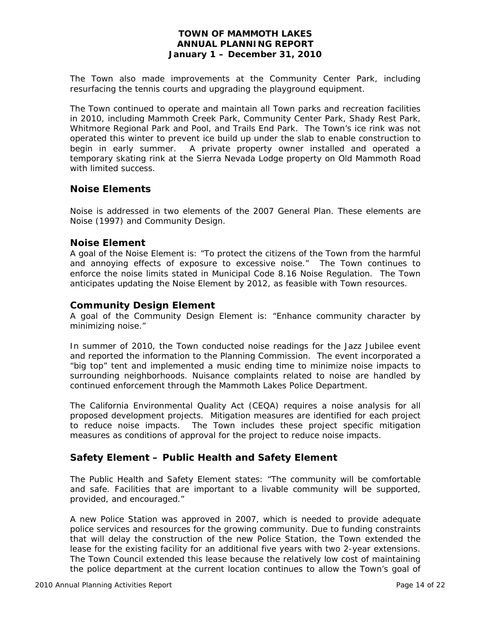The Town also made improvements at the Community Center Park, including resurfacing the tennis courts and upgrading the playground equipment.

The Town continued to operate and maintain all Town parks and recreation facilities in 2010, including Mammoth Creek Park, Community Center Park, Shady Rest Park, Whitmore Regional Park and Pool, and Trails End Park. The Town's ice rink was not operated this winter to prevent ice build up under the slab to enable construction to begin in early summer. A private property owner installed and operated a temporary skating rink at the Sierra Nevada Lodge property on Old Mammoth Road with limited success.

### **Noise Elements**

Noise is addressed in two elements of the 2007 General Plan. These elements are Noise (1997) and Community Design.

### *Noise Element*

A goal of the Noise Element is: "To protect the citizens of the Town from the harmful and annoying effects of exposure to excessive noise." The Town continues to enforce the noise limits stated in Municipal Code 8.16 Noise Regulation. The Town anticipates updating the Noise Element by 2012, as feasible with Town resources.

### *Community Design Element*

A goal of the Community Design Element is: "Enhance community character by minimizing noise."

In summer of 2010, the Town conducted noise readings for the Jazz Jubilee event and reported the information to the Planning Commission. The event incorporated a "big top" tent and implemented a music ending time to minimize noise impacts to surrounding neighborhoods. Nuisance complaints related to noise are handled by continued enforcement through the Mammoth Lakes Police Department.

The California Environmental Quality Act (CEQA) requires a noise analysis for all proposed development projects. Mitigation measures are identified for each project to reduce noise impacts. The Town includes these project specific mitigation measures as conditions of approval for the project to reduce noise impacts.

## **Safety Element – Public Health and Safety Element**

The Public Health and Safety Element states: "The community will be comfortable and safe. Facilities that are important to a livable community will be supported, provided, and encouraged."

A new Police Station was approved in 2007, which is needed to provide adequate police services and resources for the growing community. Due to funding constraints that will delay the construction of the new Police Station, the Town extended the lease for the existing facility for an additional five years with two 2-year extensions. The Town Council extended this lease because the relatively low cost of maintaining the police department at the current location continues to allow the Town's goal of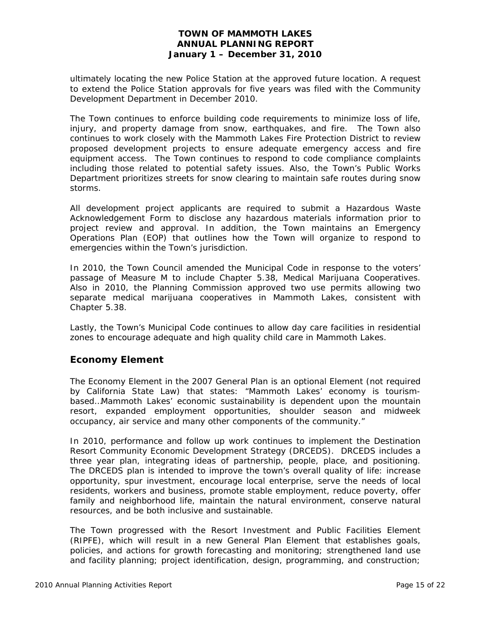ultimately locating the new Police Station at the approved future location. A request to extend the Police Station approvals for five years was filed with the Community Development Department in December 2010.

The Town continues to enforce building code requirements to minimize loss of life, injury, and property damage from snow, earthquakes, and fire. The Town also continues to work closely with the Mammoth Lakes Fire Protection District to review proposed development projects to ensure adequate emergency access and fire equipment access. The Town continues to respond to code compliance complaints including those related to potential safety issues. Also, the Town's Public Works Department prioritizes streets for snow clearing to maintain safe routes during snow storms.

All development project applicants are required to submit a Hazardous Waste Acknowledgement Form to disclose any hazardous materials information prior to project review and approval. In addition, the Town maintains an Emergency Operations Plan (EOP) that outlines how the Town will organize to respond to emergencies within the Town's jurisdiction.

In 2010, the Town Council amended the Municipal Code in response to the voters' passage of Measure M to include Chapter 5.38, Medical Marijuana Cooperatives. Also in 2010, the Planning Commission approved two use permits allowing two separate medical marijuana cooperatives in Mammoth Lakes, consistent with Chapter 5.38.

Lastly, the Town's Municipal Code continues to allow day care facilities in residential zones to encourage adequate and high quality child care in Mammoth Lakes.

## **Economy Element**

The Economy Element in the 2007 General Plan is an optional Element (not required by California State Law) that states: "Mammoth Lakes' economy is tourismbased…Mammoth Lakes' economic sustainability is dependent upon the mountain resort, expanded employment opportunities, shoulder season and midweek occupancy, air service and many other components of the community."

In 2010, performance and follow up work continues to implement the Destination Resort Community Economic Development Strategy (DRCEDS). DRCEDS includes a three year plan, integrating ideas of partnership, people, place, and positioning. The DRCEDS plan is intended to improve the town's overall quality of life: increase opportunity, spur investment, encourage local enterprise, serve the needs of local residents, workers and business, promote stable employment, reduce poverty, offer family and neighborhood life, maintain the natural environment, conserve natural resources, and be both inclusive and sustainable.

The Town progressed with the Resort Investment and Public Facilities Element (RIPFE), which will result in a new General Plan Element that establishes goals, policies, and actions for growth forecasting and monitoring; strengthened land use and facility planning; project identification, design, programming, and construction;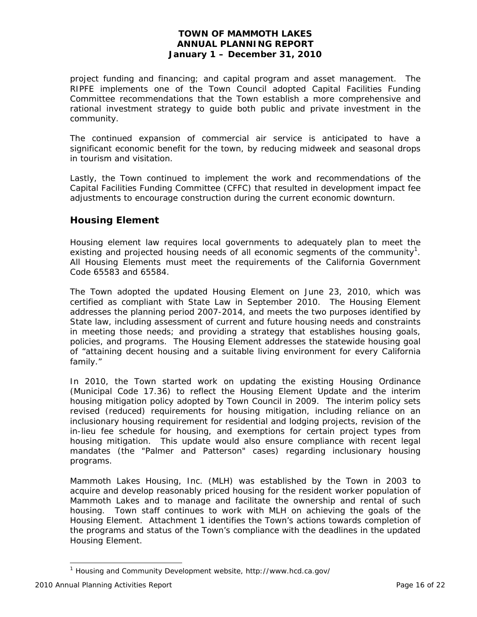project funding and financing; and capital program and asset management. The RIPFE implements one of the Town Council adopted Capital Facilities Funding Committee recommendations that the Town establish a more comprehensive and rational investment strategy to guide both public and private investment in the community.

The continued expansion of commercial air service is anticipated to have a significant economic benefit for the town, by reducing midweek and seasonal drops in tourism and visitation.

Lastly, the Town continued to implement the work and recommendations of the Capital Facilities Funding Committee (CFFC) that resulted in development impact fee adjustments to encourage construction during the current economic downturn.

# **Housing Element**

Housing element law requires local governments to adequately plan to meet the existing and projected housing needs of all economic segments of the community<sup>[1](#page-15-0)</sup>. All Housing Elements must meet the requirements of the California Government Code 65583 and 65584.

The Town adopted the updated Housing Element on June 23, 2010, which was certified as compliant with State Law in September 2010. The Housing Element addresses the planning period 2007-2014, and meets the two purposes identified by State law, including assessment of current and future housing needs and constraints in meeting those needs; and providing a strategy that establishes housing goals, policies, and programs. The Housing Element addresses the statewide housing goal of "attaining decent housing and a suitable living environment for every California family."

In 2010, the Town started work on updating the existing Housing Ordinance (Municipal Code 17.36) to reflect the Housing Element Update and the interim housing mitigation policy adopted by Town Council in 2009. The interim policy sets revised (reduced) requirements for housing mitigation, including reliance on an inclusionary housing requirement for residential and lodging projects, revision of the in-lieu fee schedule for housing, and exemptions for certain project types from housing mitigation. This update would also ensure compliance with recent legal mandates (the "Palmer and Patterson" cases) regarding inclusionary housing programs.

Mammoth Lakes Housing, Inc. (MLH) was established by the Town in 2003 to acquire and develop reasonably priced housing for the resident worker population of Mammoth Lakes and to manage and facilitate the ownership and rental of such housing. Town staff continues to work with MLH on achieving the goals of the Housing Element. Attachment 1 identifies the Town's actions towards completion of the programs and status of the Town's compliance with the deadlines in the updated Housing Element.

 $\overline{a}$ 

<span id="page-15-0"></span><sup>&</sup>lt;sup>1</sup> Housing and Community Development website, http://www.hcd.ca.gov/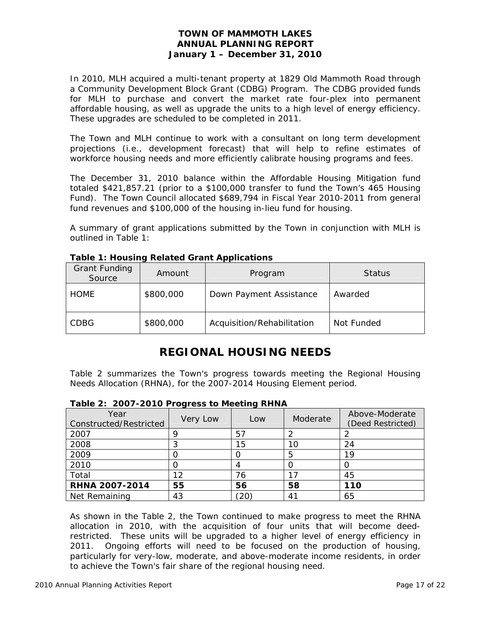In 2010, MLH acquired a multi-tenant property at 1829 Old Mammoth Road through a Community Development Block Grant (CDBG) Program. The CDBG provided funds for MLH to purchase and convert the market rate four-plex into permanent affordable housing, as well as upgrade the units to a high level of energy efficiency. These upgrades are scheduled to be completed in 2011.

The Town and MLH continue to work with a consultant on long term development projections (i.e., development forecast) that will help to refine estimates of workforce housing needs and more efficiently calibrate housing programs and fees.

The December 31, 2010 balance within the Affordable Housing Mitigation fund totaled \$421,857.21 (prior to a \$100,000 transfer to fund the Town's 465 Housing Fund). The Town Council allocated \$689,794 in Fiscal Year 2010-2011 from general fund revenues and \$100,000 of the housing in-lieu fund for housing.

A summary of grant applications submitted by the Town in conjunction with MLH is outlined in Table 1:

| <b>Grant Funding</b><br>Source | Amount    | Program                    | <b>Status</b> |
|--------------------------------|-----------|----------------------------|---------------|
| <b>HOME</b>                    | \$800,000 | Down Payment Assistance    | Awarded       |
| <b>CDBG</b>                    | \$800,000 | Acquisition/Rehabilitation | Not Funded    |

**Table 1: Housing Related Grant Applications** 

# **REGIONAL HOUSING NEEDS**

Table 2 summarizes the Town's progress towards meeting the Regional Housing Needs Allocation (RHNA), for the 2007-2014 Housing Element period.

| Year<br>Constructed/Restricted | Very Low | Low | Moderate | Above-Moderate<br>(Deed Restricted) |  |  |  |  |
|--------------------------------|----------|-----|----------|-------------------------------------|--|--|--|--|
| 2007                           |          | 57  |          |                                     |  |  |  |  |
| 2008                           |          | 15  | 10       | 24                                  |  |  |  |  |
| 2009                           |          |     | 5        | 19                                  |  |  |  |  |
| 2010                           |          |     |          |                                     |  |  |  |  |
| Total                          | 12       | 76  |          | 45                                  |  |  |  |  |
| <b>RHNA 2007-2014</b>          | 55       | 56  | 58       | 110                                 |  |  |  |  |
| Net Remaining                  | 43       | 20. | 41       | 65                                  |  |  |  |  |

**Table 2: 2007-2010 Progress to Meeting RHNA** 

As shown in the Table 2, the Town continued to make progress to meet the RHNA allocation in 2010, with the acquisition of four units that will become deedrestricted. These units will be upgraded to a higher level of energy efficiency in 2011. Ongoing efforts will need to be focused on the production of housing, particularly for very-low, moderate, and above-moderate income residents, in order to achieve the Town's fair share of the regional housing need.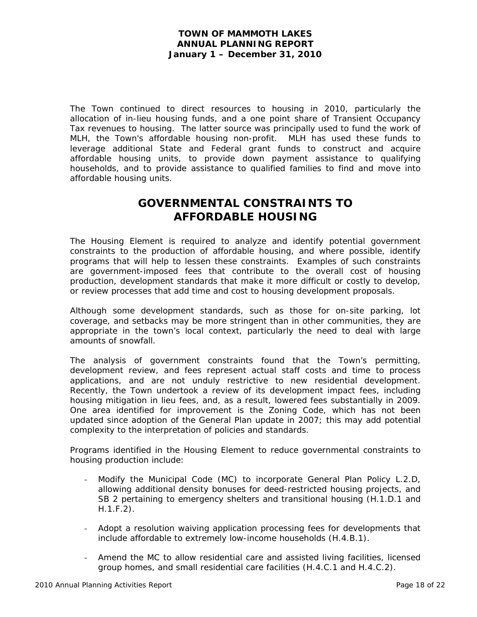The Town continued to direct resources to housing in 2010, particularly the allocation of in-lieu housing funds, and a one point share of Transient Occupancy Tax revenues to housing. The latter source was principally used to fund the work of MLH, the Town's affordable housing non-profit. MLH has used these funds to leverage additional State and Federal grant funds to construct and acquire affordable housing units, to provide down payment assistance to qualifying households, and to provide assistance to qualified families to find and move into affordable housing units.

# **GOVERNMENTAL CONSTRAINTS TO AFFORDABLE HOUSING**

The Housing Element is required to analyze and identify potential government constraints to the production of affordable housing, and where possible, identify programs that will help to lessen these constraints. Examples of such constraints are government-imposed fees that contribute to the overall cost of housing production, development standards that make it more difficult or costly to develop, or review processes that add time and cost to housing development proposals.

Although some development standards, such as those for on-site parking, lot coverage, and setbacks may be more stringent than in other communities, they are appropriate in the town's local context, particularly the need to deal with large amounts of snowfall.

The analysis of government constraints found that the Town's permitting, development review, and fees represent actual staff costs and time to process applications, and are not unduly restrictive to new residential development. Recently, the Town undertook a review of its development impact fees, including housing mitigation in lieu fees, and, as a result, lowered fees substantially in 2009. One area identified for improvement is the Zoning Code, which has not been updated since adoption of the General Plan update in 2007; this may add potential complexity to the interpretation of policies and standards.

Programs identified in the Housing Element to reduce governmental constraints to housing production include:

- Modify the Municipal Code (MC) to incorporate General Plan Policy L.2.D, allowing additional density bonuses for deed-restricted housing projects, and SB 2 pertaining to emergency shelters and transitional housing (H.1.D.1 and H.1.F.2).
- Adopt a resolution waiving application processing fees for developments that include affordable to extremely low-income households (H.4.B.1).
- Amend the MC to allow residential care and assisted living facilities, licensed group homes, and small residential care facilities (H.4.C.1 and H.4.C.2).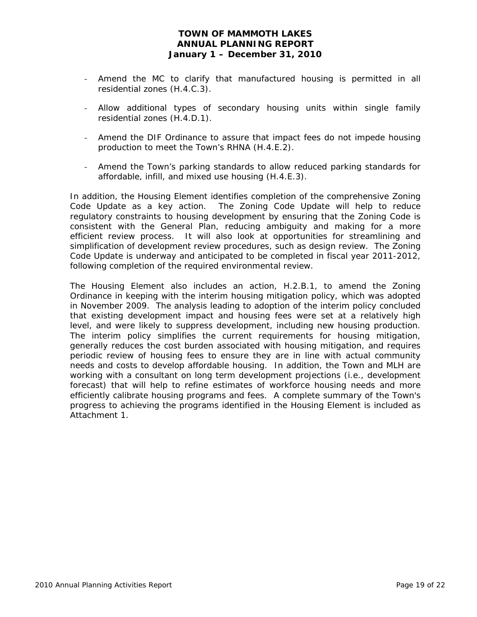- Amend the MC to clarify that manufactured housing is permitted in all residential zones (H.4.C.3).
- Allow additional types of secondary housing units within single family residential zones (H.4.D.1).
- Amend the DIF Ordinance to assure that impact fees do not impede housing production to meet the Town's RHNA (H.4.E.2).
- Amend the Town's parking standards to allow reduced parking standards for affordable, infill, and mixed use housing (H.4.E.3).

In addition, the Housing Element identifies completion of the comprehensive Zoning Code Update as a key action. The Zoning Code Update will help to reduce regulatory constraints to housing development by ensuring that the Zoning Code is consistent with the General Plan, reducing ambiguity and making for a more efficient review process. It will also look at opportunities for streamlining and simplification of development review procedures, such as design review. The Zoning Code Update is underway and anticipated to be completed in fiscal year 2011-2012, following completion of the required environmental review.

The Housing Element also includes an action, H.2.B.1, to amend the Zoning Ordinance in keeping with the interim housing mitigation policy, which was adopted in November 2009. The analysis leading to adoption of the interim policy concluded that existing development impact and housing fees were set at a relatively high level, and were likely to suppress development, including new housing production. The interim policy simplifies the current requirements for housing mitigation, generally reduces the cost burden associated with housing mitigation, and requires periodic review of housing fees to ensure they are in line with actual community needs and costs to develop affordable housing. In addition, the Town and MLH are working with a consultant on long term development projections (i.e., development forecast) that will help to refine estimates of workforce housing needs and more efficiently calibrate housing programs and fees. A complete summary of the Town's progress to achieving the programs identified in the Housing Element is included as Attachment 1.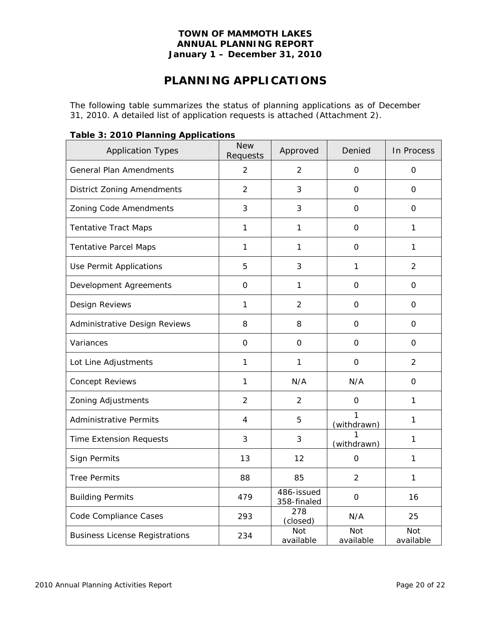# **PLANNING APPLICATIONS**

The following table summarizes the status of planning applications as of December 31, 2010. A detailed list of application requests is attached (Attachment 2).

| <b>Application Types</b>              | <b>New</b><br>Requests | Approved                  | Denied                  | In Process              |
|---------------------------------------|------------------------|---------------------------|-------------------------|-------------------------|
| <b>General Plan Amendments</b>        | $\overline{2}$         | $\overline{2}$            | O                       | $\mathsf O$             |
| <b>District Zoning Amendments</b>     | 2                      | 3                         | O                       | $\Omega$                |
| Zoning Code Amendments                | 3                      | 3                         | 0                       | 0                       |
| <b>Tentative Tract Maps</b>           | $\mathbf{1}$           | 1                         | 0                       | 1                       |
| <b>Tentative Parcel Maps</b>          | $\mathbf{1}$           | 1                         | 0                       | 1                       |
| Use Permit Applications               | 5                      | 3                         | 1                       | $\overline{2}$          |
| Development Agreements                | $\mathbf 0$            | $\mathbf{1}$              | $\mathsf{O}\xspace$     | $\mathsf O$             |
| Design Reviews                        | $\mathbf{1}$           | $\overline{2}$            | 0                       | $\mathbf 0$             |
| Administrative Design Reviews         | 8                      | 8                         | 0                       | $\mathsf{O}\xspace$     |
| Variances                             | $\Omega$               | $\overline{0}$            | 0                       | $\Omega$                |
| Lot Line Adjustments                  | 1                      | $\mathbf{1}$              | 0                       | $\overline{2}$          |
| <b>Concept Reviews</b>                | 1                      | N/A                       | N/A                     | $\mathsf{O}$            |
| Zoning Adjustments                    | $\overline{2}$         | $\overline{2}$            | 0                       | 1                       |
| <b>Administrative Permits</b>         | 4                      | 5                         | 1<br>(withdrawn)        | 1                       |
| <b>Time Extension Requests</b>        | 3                      | 3                         | (withdrawn)             | 1                       |
| Sign Permits                          | 13                     | 12                        | 0                       | 1                       |
| <b>Tree Permits</b>                   | 88                     | 85                        | $\overline{2}$          | 1                       |
| <b>Building Permits</b>               | 479                    | 486-issued<br>358-finaled | $\mathbf 0$             | 16                      |
| Code Compliance Cases                 | 293                    | 278<br>(closed)           | N/A                     | 25                      |
| <b>Business License Registrations</b> | 234                    | <b>Not</b><br>available   | <b>Not</b><br>available | <b>Not</b><br>available |

### **Table 3: 2010 Planning Applications**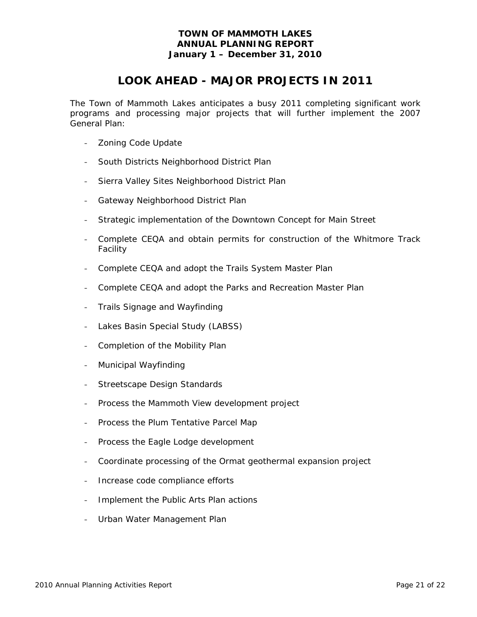# **LOOK AHEAD - MAJOR PROJECTS IN 2011**

The Town of Mammoth Lakes anticipates a busy 2011 completing significant work programs and processing major projects that will further implement the 2007 General Plan:

- Zoning Code Update
- South Districts Neighborhood District Plan
- Sierra Valley Sites Neighborhood District Plan
- Gateway Neighborhood District Plan
- Strategic implementation of the Downtown Concept for Main Street
- Complete CEQA and obtain permits for construction of the Whitmore Track Facility
- Complete CEQA and adopt the Trails System Master Plan
- Complete CEQA and adopt the Parks and Recreation Master Plan
- Trails Signage and Wayfinding
- Lakes Basin Special Study (LABSS)
- Completion of the Mobility Plan
- Municipal Wayfinding
- Streetscape Design Standards
- Process the Mammoth View development project
- Process the Plum Tentative Parcel Map
- Process the Eagle Lodge development
- Coordinate processing of the Ormat geothermal expansion project
- Increase code compliance efforts
- Implement the Public Arts Plan actions
- Urban Water Management Plan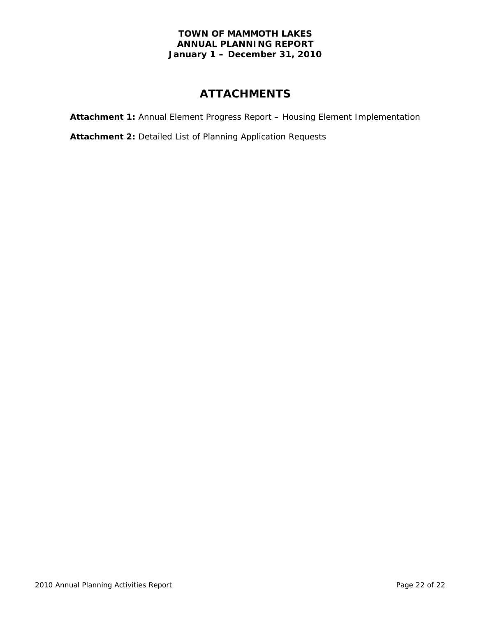# **ATTACHMENTS**

**Attachment 1:** Annual Element Progress Report – Housing Element Implementation

**Attachment 2:** Detailed List of Planning Application Requests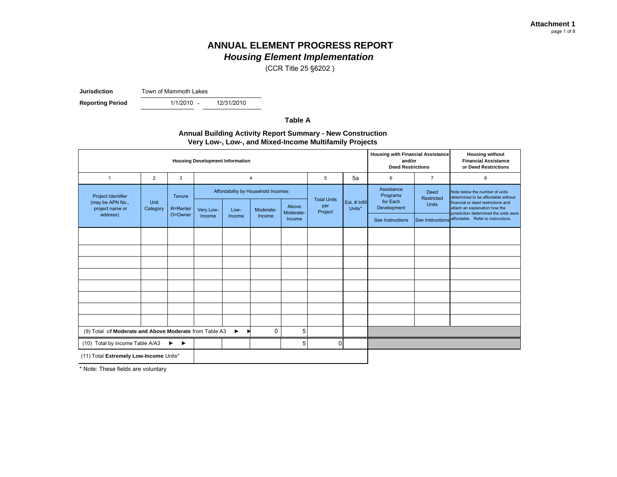# **ANNUAL ELEMENT PROGRESS REPORT**

*Housing Element Implementation*

(CCR Title 25 §6202 )

**Jurisdiction**Town of Mammoth Lakes

**Reporting Period** 

-

12/31/2010

**Table A**

#### **Annual Building Activity Report Summary - New Construction Very Low-, Low-, and Mixed-Income Multifamily Projects**

| <b>Housing Development Information</b>                                                           |                                                                                                                         |         |        |                           |                         |                                                   |                                    |                                                                                                                                              |                  | <b>Housing with Financial Assistance</b><br>and/or<br><b>Deed Restrictions</b> | <b>Housing without</b><br><b>Financial Assistance</b><br>or Deed Restrictions                 |
|--------------------------------------------------------------------------------------------------|-------------------------------------------------------------------------------------------------------------------------|---------|--------|---------------------------|-------------------------|---------------------------------------------------|------------------------------------|----------------------------------------------------------------------------------------------------------------------------------------------|------------------|--------------------------------------------------------------------------------|-----------------------------------------------------------------------------------------------|
| $\overline{1}$                                                                                   | $\overline{2}$                                                                                                          | 3       |        |                           | $\overline{4}$          |                                                   | 5                                  | 5a                                                                                                                                           | 6                | $\overline{7}$                                                                 | 8                                                                                             |
| Project Identifier<br>(may be APN No.,<br>project name or                                        | Affordability by Household Incomes<br>Tenure<br>Unit<br>Above<br>R=Renter<br>Category<br>Very Low-<br>Moderate-<br>Low- |         |        | <b>Total Units</b><br>per | Est. # Infill<br>Units* | Assistance<br>Programs<br>for Each<br>Development | Deed<br>Restricted<br><b>Units</b> | Note below the number of units<br>determined to be affordable without<br>financial or deed restrictions and<br>attach an explanation how the |                  |                                                                                |                                                                                               |
| address)                                                                                         |                                                                                                                         | O=Owner | Income | Income                    | Income                  | Moderate-<br>Income                               | Project                            |                                                                                                                                              | See Instructions |                                                                                | jurisdiction determined the units were<br>See Instructions affordable. Refer to instructions. |
|                                                                                                  |                                                                                                                         |         |        |                           |                         |                                                   |                                    |                                                                                                                                              |                  |                                                                                |                                                                                               |
|                                                                                                  |                                                                                                                         |         |        |                           |                         |                                                   |                                    |                                                                                                                                              |                  |                                                                                |                                                                                               |
|                                                                                                  |                                                                                                                         |         |        |                           |                         |                                                   |                                    |                                                                                                                                              |                  |                                                                                |                                                                                               |
|                                                                                                  |                                                                                                                         |         |        |                           |                         |                                                   |                                    |                                                                                                                                              |                  |                                                                                |                                                                                               |
|                                                                                                  |                                                                                                                         |         |        |                           |                         |                                                   |                                    |                                                                                                                                              |                  |                                                                                |                                                                                               |
|                                                                                                  |                                                                                                                         |         |        |                           |                         |                                                   |                                    |                                                                                                                                              |                  |                                                                                |                                                                                               |
|                                                                                                  |                                                                                                                         |         |        |                           |                         |                                                   |                                    |                                                                                                                                              |                  |                                                                                |                                                                                               |
|                                                                                                  |                                                                                                                         |         |        |                           |                         |                                                   |                                    |                                                                                                                                              |                  |                                                                                |                                                                                               |
| (9) Total of Moderate and Above Moderate from Table A3<br>$\Omega$<br>$\blacktriangleright$<br>D |                                                                                                                         |         |        |                           |                         | 5                                                 |                                    |                                                                                                                                              |                  |                                                                                |                                                                                               |
| (10) Total by income Table A/A3                                                                  |                                                                                                                         | ▶<br>▸  |        |                           |                         | 5                                                 | 0                                  |                                                                                                                                              |                  |                                                                                |                                                                                               |
| (11) Total Extremely Low-Income Units*                                                           |                                                                                                                         |         |        |                           |                         |                                                   |                                    |                                                                                                                                              |                  |                                                                                |                                                                                               |

\* Note: These fields are voluntary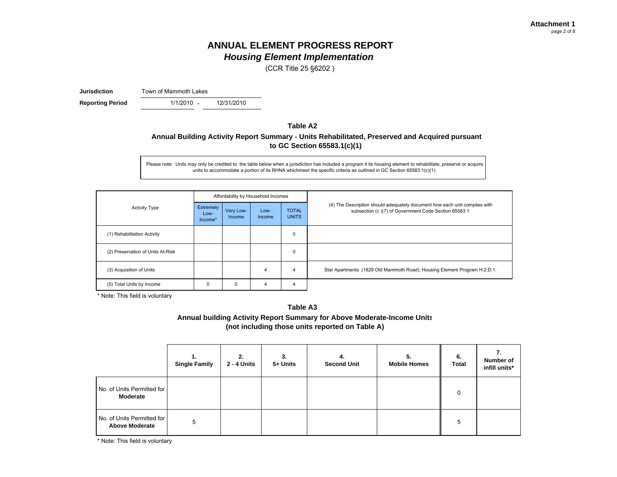(CCR Title 25 §6202 )

**Jurisdiction**Town of Mammoth Lakes

**Reporting Period** 1/1/2010 - 12/31/2010

### **Table A2Annual Building Activity Report Summary - Units Rehabilitated, Preserved and Acquired pursuant to GC Section 65583.1(c)(1)**

Please note: Units may only be credited to the table below when a jurisdiction has included a program it its housing element to rehabilitate, preserve or acquire units to accommodate a portion of its RHNA whichmeet the specific criteria as outlined in GC Section 65583.1(c)(1)

|                                   |                              |                     | Affordability by Household Incomes |                              |                                                                                                                                    |
|-----------------------------------|------------------------------|---------------------|------------------------------------|------------------------------|------------------------------------------------------------------------------------------------------------------------------------|
| <b>Activity Type</b>              | Extremely<br>Low-<br>Income* | Very Low-<br>Income | Low-<br>Income                     | <b>TOTAL</b><br><b>UNITS</b> | (4) The Description should adequately document how each unit complies with<br>subsection (c)(7) of Government Code Section 65583.1 |
| (1) Rehabilitation Activity       |                              |                     |                                    | 0                            |                                                                                                                                    |
| (2) Preservation of Units At-Risk |                              |                     |                                    | 0                            |                                                                                                                                    |
| (3) Acquisition of Units          |                              |                     | 4                                  | 4                            | Star Apartments (1829 Old Mammoth Road); Housing Element Program H.2.D.1.                                                          |
| (5) Total Units by Income         | 0                            | 0                   | 4                                  | 4                            |                                                                                                                                    |

\* Note: This field is voluntary

#### **Table A3**

**Annual building Activity Report Summary for Above Moderate-Income Units (not including those units reported on Table A)**

|                                                     | 1.<br><b>Single Family</b> | 2.<br>2 - 4 Units | 3.<br>5+ Units | 4.<br><b>Second Unit</b> | 5.<br><b>Mobile Homes</b> | 6.<br><b>Total</b> | 7.<br>Number of<br>infill units* |
|-----------------------------------------------------|----------------------------|-------------------|----------------|--------------------------|---------------------------|--------------------|----------------------------------|
| No. of Units Permitted for<br>Moderate              |                            |                   |                |                          |                           | 0                  |                                  |
| No. of Units Permitted for<br><b>Above Moderate</b> | 5                          |                   |                |                          |                           | 5                  |                                  |

\* Note: This field is voluntary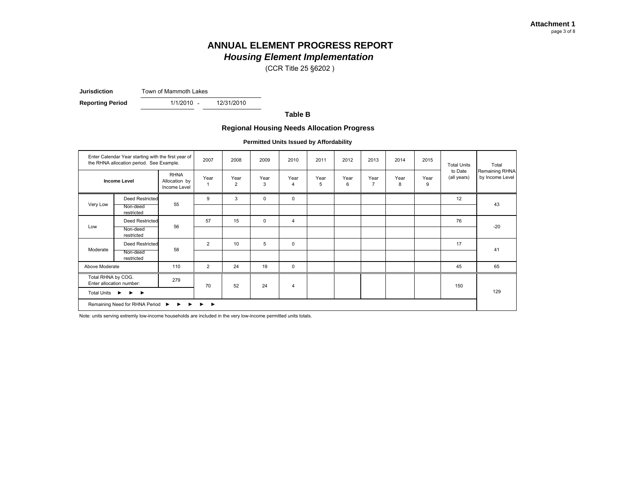# **ANNUAL ELEMENT PROGRESS REPORT**

*Housing Element Implementation*

(CCR Title 25 §6202 )

**Jurisdiction**Town of Mammoth Lakes

**Reporting Period** 1/1/2010 - 12/31/2010

**Table B**

#### **Regional Housing Needs Allocation Progress**

**Permitted Units Issued by Affordability**

|                    | Enter Calendar Year starting with the first year of<br>the RHNA allocation period. See Example.                     |                                              | 2007 | 2008                   | 2009        | 2010                   | 2011      | 2012      | 2013                   | 2014      | 2015      | <b>Total Units</b>     | Total                             |
|--------------------|---------------------------------------------------------------------------------------------------------------------|----------------------------------------------|------|------------------------|-------------|------------------------|-----------|-----------|------------------------|-----------|-----------|------------------------|-----------------------------------|
|                    | <b>Income Level</b>                                                                                                 | <b>RHNA</b><br>Allocation by<br>Income Level | Year | Year<br>$\overline{2}$ | Year<br>3   | Year<br>$\overline{4}$ | Year<br>5 | Year<br>6 | Year<br>$\overline{7}$ | Year<br>8 | Year<br>9 | to Date<br>(all years) | Remaining RHNA<br>by Income Level |
|                    | <b>Deed Restricted</b>                                                                                              |                                              | 9    | 3                      | $\mathbf 0$ | $\mathbf 0$            |           |           |                        |           |           | 12                     |                                   |
| Very Low           | Non-deed<br>restricted                                                                                              | 55                                           |      |                        |             |                        |           |           |                        |           |           |                        | 43                                |
|                    | <b>Deed Restricted</b>                                                                                              |                                              | 57   | 15                     | $\mathbf 0$ | $\overline{4}$         |           |           |                        |           |           | 76                     |                                   |
| Low                | Non-deed<br>restricted                                                                                              | 56                                           |      |                        |             |                        |           |           |                        |           |           |                        | $-20$                             |
|                    | Deed Restricted                                                                                                     |                                              | 2    | 10                     | 5           | $\mathsf 0$            |           |           |                        |           |           | 17                     |                                   |
| Moderate           | Non-deed<br>restricted                                                                                              | 58                                           |      |                        |             |                        |           |           |                        |           |           |                        | 41                                |
| Above Moderate     |                                                                                                                     | 110                                          | 2    | 24                     | 19          | $\mathbf 0$            |           |           |                        |           |           | 45                     | 65                                |
| Total RHNA by COG. | Enter allocation number:                                                                                            | 279                                          | 70   | 52                     | 24          | $\overline{4}$         |           |           |                        |           |           | 150                    |                                   |
|                    | Total Units ▶<br>$\rightarrow$                                                                                      |                                              |      |                        |             |                        |           |           |                        |           |           |                        | 129                               |
|                    | Remaining Need for RHNA Period $\triangleright$ $\triangleright$ $\triangleright$ $\triangleright$ $\triangleright$ |                                              |      |                        |             |                        |           |           |                        |           |           |                        |                                   |

Note: units serving extremly low-income households are included in the very low-income permitted units totals.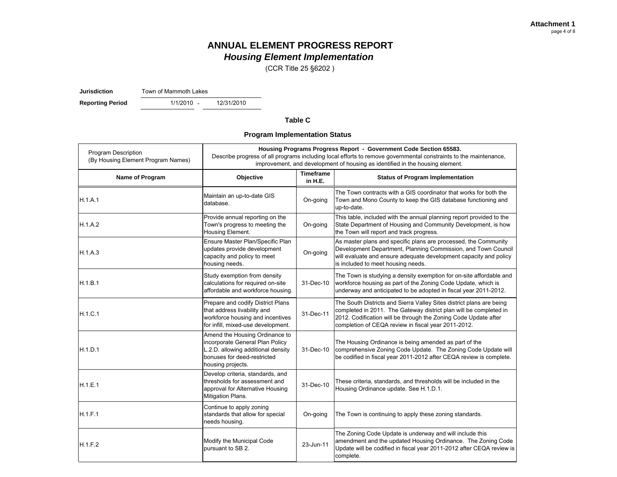(CCR Title 25 §6202 )

**Jurisdiction**Town of Mammoth Lakes

**Reporting Period** 1/1/2010 - 12/31/2010

#### **Table C**

**Program Implementation Status**

| <b>Program Description</b><br>(By Housing Element Program Names) |                                                                                                                                                             |                               | Housing Programs Progress Report - Government Code Section 65583.<br>Describe progress of all programs including local efforts to remove governmental constraints to the maintenance,<br>improvement, and development of housing as identified in the housing element. |
|------------------------------------------------------------------|-------------------------------------------------------------------------------------------------------------------------------------------------------------|-------------------------------|------------------------------------------------------------------------------------------------------------------------------------------------------------------------------------------------------------------------------------------------------------------------|
| Name of Program                                                  | Objective                                                                                                                                                   | <b>Timeframe</b><br>in $H.E.$ | <b>Status of Program Implementation</b>                                                                                                                                                                                                                                |
| H.1.A.1                                                          | Maintain an up-to-date GIS<br>database.                                                                                                                     | On-going                      | The Town contracts with a GIS coordinator that works for both the<br>Town and Mono County to keep the GIS database functioning and<br>up-to-date.                                                                                                                      |
| H.1.A.2                                                          | Provide annual reporting on the<br>Town's progress to meeting the<br>Housing Element.                                                                       | On-going                      | This table, included with the annual planning report provided to the<br>State Department of Housing and Community Development, is how<br>the Town will report and track progress.                                                                                      |
| H.1.A.3                                                          | Ensure Master Plan/Specific Plan<br>updates provide development<br>capacity and policy to meet<br>housing needs.                                            | On-going                      | As master plans and specific plans are processed, the Community<br>Development Department, Planning Commission, and Town Council<br>will evaluate and ensure adequate development capacity and policy<br>is included to meet housing needs.                            |
| H.1.B.1                                                          | Study exemption from density<br>calculations for required on-site<br>affordable and workforce housing.                                                      | 31-Dec-10                     | The Town is studying a density exemption for on-site affordable and<br>workforce housing as part of the Zoning Code Update, which is<br>underway and anticipated to be adopted in fiscal year 2011-2012.                                                               |
| H.1.C.1                                                          | Prepare and codify District Plans<br>that address livability and<br>workforce housing and incentives<br>for infill, mixed-use development.                  | 31-Dec-11                     | The South Districts and Sierra Valley Sites district plans are being<br>completed in 2011. The Gateway district plan will be completed in<br>2012. Codification will be through the Zoning Code Update after<br>completion of CEQA review in fiscal year 2011-2012.    |
| H.1.D.1                                                          | Amend the Housing Ordinance to<br>incorporate General Plan Policy<br>L.2.D. allowing additional density<br>bonuses for deed-restricted<br>housing projects. | 31-Dec-10                     | The Housing Ordinance is being amended as part of the<br>comprehensive Zoning Code Update. The Zoning Code Update will<br>be codified in fiscal year 2011-2012 after CEQA review is complete.                                                                          |
| H.1.E.1                                                          | Develop criteria, standards, and<br>thresholds for assessment and<br>approval for Alternative Housing<br>Mitigation Plans.                                  | 31-Dec-10                     | These criteria, standards, and thresholds will be included in the<br>Housing Ordinance update. See H.1.D.1.                                                                                                                                                            |
| H.1.F.1                                                          | Continue to apply zoning<br>standards that allow for special<br>needs housing.                                                                              | On-going                      | The Town is continuing to apply these zoning standards.                                                                                                                                                                                                                |
| H.1.F.2                                                          | Modify the Municipal Code<br>pursuant to SB 2.                                                                                                              | 23-Jun-11                     | The Zoning Code Update is underway and will include this<br>amendment and the updated Housing Ordinance. The Zoning Code<br>Update will be codified in fiscal year 2011-2012 after CEQA review is<br>complete.                                                         |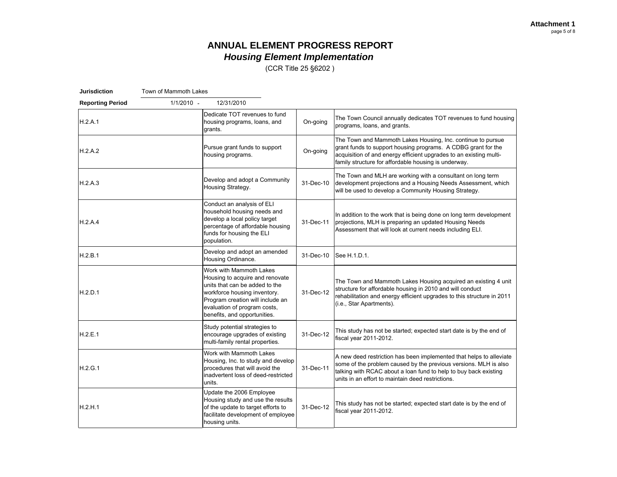(CCR Title 25 §6202 )

| <b>Jurisdiction</b>     | Town of Mammoth Lakes |                                                                                                                                                                                                                                  |           |                                                                                                                                                                                                                                                                  |
|-------------------------|-----------------------|----------------------------------------------------------------------------------------------------------------------------------------------------------------------------------------------------------------------------------|-----------|------------------------------------------------------------------------------------------------------------------------------------------------------------------------------------------------------------------------------------------------------------------|
| <b>Reporting Period</b> | $1/1/2010 -$          | 12/31/2010                                                                                                                                                                                                                       |           |                                                                                                                                                                                                                                                                  |
| H.2.A.1                 |                       | Dedicate TOT revenues to fund<br>housing programs, loans, and<br>grants.                                                                                                                                                         | On-going  | The Town Council annually dedicates TOT revenues to fund housing<br>programs, loans, and grants.                                                                                                                                                                 |
| H.2.A.2                 |                       | Pursue grant funds to support<br>housing programs.                                                                                                                                                                               | On-going  | The Town and Mammoth Lakes Housing, Inc. continue to pursue<br>grant funds to support housing programs. A CDBG grant for the<br>acquisition of and energy efficient upgrades to an existing multi-<br>family structure for affordable housing is underway.       |
| H.2.A.3                 |                       | Develop and adopt a Community<br>Housing Strategy.                                                                                                                                                                               | 31-Dec-10 | The Town and MLH are working with a consultant on long term<br>development projections and a Housing Needs Assessment, which<br>will be used to develop a Community Housing Strategy.                                                                            |
| H.2.A.4                 |                       | Conduct an analysis of ELI<br>household housing needs and<br>develop a local policy target<br>percentage of affordable housing<br>funds for housing the ELI<br>population.                                                       | 31-Dec-11 | In addition to the work that is being done on long term development<br>projections, MLH is preparing an updated Housing Needs<br>Assessment that will look at current needs including ELI.                                                                       |
| H.2.B.1                 |                       | Develop and adopt an amended<br>Housing Ordinance.                                                                                                                                                                               | 31-Dec-10 | See H.1.D.1.                                                                                                                                                                                                                                                     |
| H.2.D.1                 |                       | Work with Mammoth Lakes<br>Housing to acquire and renovate<br>units that can be added to the<br>workforce housing inventory.<br>Program creation will include an<br>evaluation of program costs,<br>benefits, and opportunities. | 31-Dec-12 | The Town and Mammoth Lakes Housing acquired an existing 4 unit<br>structure for affordable housing in 2010 and will conduct<br>rehabilitation and energy efficient upgrades to this structure in 2011<br>(i.e., Star Apartments).                                |
| H.2.E.1                 |                       | Study potential strategies to<br>encourage upgrades of existing<br>multi-family rental properties.                                                                                                                               | 31-Dec-12 | This study has not be started; expected start date is by the end of<br>fiscal year 2011-2012.                                                                                                                                                                    |
| H.2.G.1                 |                       | Work with Mammoth Lakes<br>Housing, Inc. to study and develop<br>procedures that will avoid the<br>inadvertent loss of deed-restricted<br>units.                                                                                 | 31-Dec-11 | A new deed restriction has been implemented that helps to alleviate<br>some of the problem caused by the previous versions. MLH is also<br>talking with RCAC about a loan fund to help to buy back existing<br>units in an effort to maintain deed restrictions. |
| H.2.H.1                 |                       | Update the 2006 Employee<br>Housing study and use the results<br>of the update to target efforts to<br>facilitate development of employee<br>housing units.                                                                      | 31-Dec-12 | This study has not be started; expected start date is by the end of<br>fiscal year 2011-2012.                                                                                                                                                                    |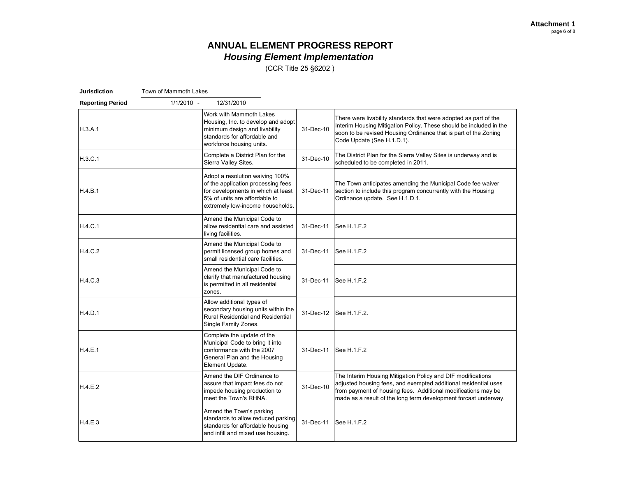(CCR Title 25 §6202 )

| <b>Jurisdiction</b>     | Town of Mammoth Lakes |                                                                                                                                                                                  |           |                                                                                                                                                                                                                                                                    |
|-------------------------|-----------------------|----------------------------------------------------------------------------------------------------------------------------------------------------------------------------------|-----------|--------------------------------------------------------------------------------------------------------------------------------------------------------------------------------------------------------------------------------------------------------------------|
| <b>Reporting Period</b> | $1/1/2010 -$          | 12/31/2010                                                                                                                                                                       |           |                                                                                                                                                                                                                                                                    |
| H.3.A.1                 |                       | Work with Mammoth Lakes<br>Housing, Inc. to develop and adopt<br>minimum design and livability<br>standards for affordable and<br>workforce housing units.                       | 31-Dec-10 | There were livability standards that were adopted as part of the<br>Interim Housing Mitigation Policy. These should be included in the<br>soon to be revised Housing Ordinance that is part of the Zoning<br>Code Update (See H.1.D.1).                            |
| H.3.C.1                 |                       | Complete a District Plan for the<br>Sierra Valley Sites.                                                                                                                         | 31-Dec-10 | The District Plan for the Sierra Valley Sites is underway and is<br>scheduled to be completed in 2011.                                                                                                                                                             |
| H.4.B.1                 |                       | Adopt a resolution waiving 100%<br>of the application processing fees<br>for developments in which at least<br>5% of units are affordable to<br>extremely low-income households. | 31-Dec-11 | The Town anticipates amending the Municipal Code fee waiver<br>section to include this program concurrently with the Housing<br>Ordinance update. See H.1.D.1.                                                                                                     |
| H.4.C.1                 |                       | Amend the Municipal Code to<br>allow residential care and assisted<br>living facilities.                                                                                         | 31-Dec-11 | See H.1.F.2                                                                                                                                                                                                                                                        |
| H.4.C.2                 |                       | Amend the Municipal Code to<br>permit licensed group homes and<br>small residential care facilities.                                                                             | 31-Dec-11 | See H.1.F.2                                                                                                                                                                                                                                                        |
| H.4.C.3                 |                       | Amend the Municipal Code to<br>clarify that manufactured housing<br>is permitted in all residential<br>zones.                                                                    | 31-Dec-11 | See H.1.F.2                                                                                                                                                                                                                                                        |
| H.4.D.1                 |                       | Allow additional types of<br>secondary housing units within the<br>Rural Residential and Residential<br>Single Family Zones.                                                     | 31-Dec-12 | See H.1.F.2.                                                                                                                                                                                                                                                       |
| H.4.E.1                 |                       | Complete the update of the<br>Municipal Code to bring it into<br>conformance with the 2007<br>General Plan and the Housing<br>Element Update.                                    | 31-Dec-11 | See H.1.F.2                                                                                                                                                                                                                                                        |
| H.4.E.2                 |                       | Amend the DIF Ordinance to<br>assure that impact fees do not<br>impede housing production to<br>meet the Town's RHNA.                                                            | 31-Dec-10 | The Interim Housing Mitigation Policy and DIF modifications<br>adjusted housing fees, and exempted additional residential uses<br>from payment of housing fees. Additional modifications may be<br>made as a result of the long term development forcast underway. |
| H.4.E.3                 |                       | Amend the Town's parking<br>standards to allow reduced parking<br>standards for affordable housing<br>and infill and mixed use housing.                                          | 31-Dec-11 | See H.1.F.2                                                                                                                                                                                                                                                        |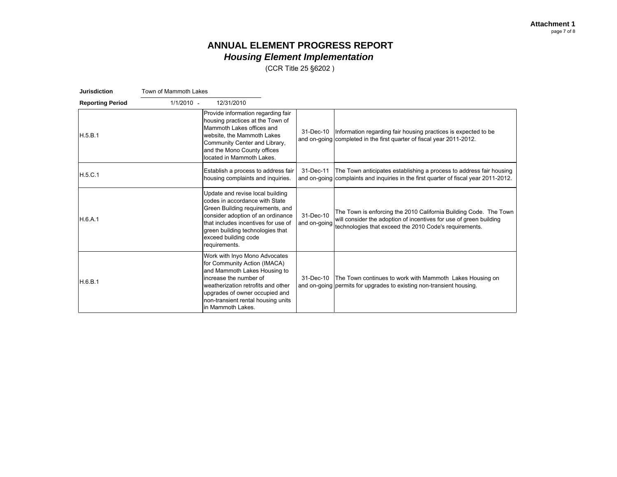(CCR Title 25 §6202 )

| Jurisdiction            | Town of Mammoth Lakes |                                                                                                                                                                                                                                                                 |                           |                                                                                                                                                                                                   |
|-------------------------|-----------------------|-----------------------------------------------------------------------------------------------------------------------------------------------------------------------------------------------------------------------------------------------------------------|---------------------------|---------------------------------------------------------------------------------------------------------------------------------------------------------------------------------------------------|
| <b>Reporting Period</b> | $1/1/2010 -$          | 12/31/2010                                                                                                                                                                                                                                                      |                           |                                                                                                                                                                                                   |
| H.5.B.1                 |                       | Provide information regarding fair<br>housing practices at the Town of<br>Mammoth Lakes offices and<br>website, the Mammoth Lakes<br>Community Center and Library,<br>and the Mono County offices<br>located in Mammoth Lakes.                                  |                           | 31-Dec-10 Information regarding fair housing practices is expected to be<br>and on-going completed in the first quarter of fiscal year 2011-2012.                                                 |
| H.5.C.1                 |                       | Establish a process to address fair<br>housing complaints and inquiries.                                                                                                                                                                                        | 31-Dec-11                 | The Town anticipates establishing a process to address fair housing<br>and on-going complaints and inquiries in the first guarter of fiscal year 2011-2012.                                       |
| H.6.A.1                 |                       | Update and revise local building<br>codes in accordance with State<br>Green Building requirements, and<br>consider adoption of an ordinance<br>that includes incentives for use of<br>green building technologies that<br>exceed building code<br>requirements. | 31-Dec-10<br>and on-going | The Town is enforcing the 2010 California Building Code. The Town<br>will consider the adoption of incentives for use of green building<br>technologies that exceed the 2010 Code's requirements. |
| H.6.B.1                 |                       | Work with Inyo Mono Advocates<br>for Community Action (IMACA)<br>and Mammoth Lakes Housing to<br>increase the number of<br>weatherization retrofits and other<br>upgrades of owner occupied and<br>non-transient rental housing units<br>in Mammoth Lakes.      | 31-Dec-10                 | The Town continues to work with Mammoth Lakes Housing on<br>and on-going permits for upgrades to existing non-transient housing.                                                                  |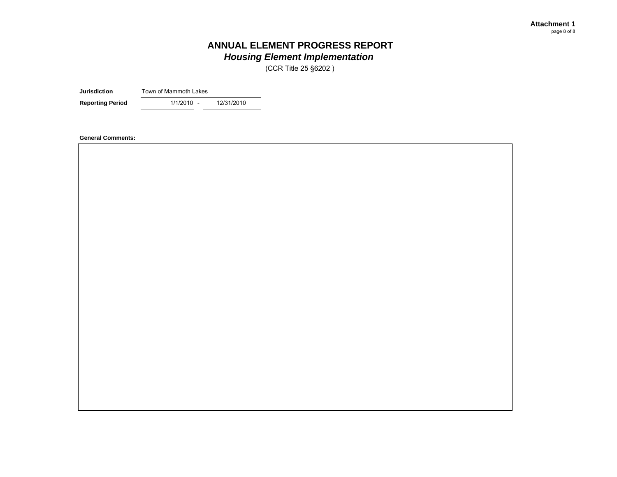(CCR Title 25 §6202 )

**Jurisdiction**Town of Mammoth Lakes

**Reporting Period** 1/1/2010 - 12/31/2010

**General Comments:**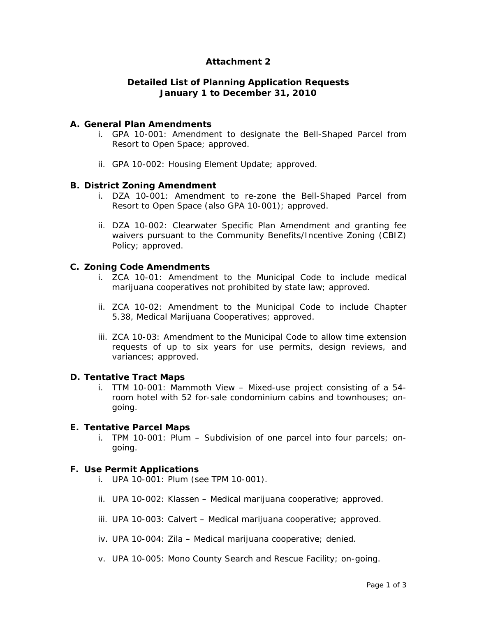### **Attachment 2**

### **Detailed List of Planning Application Requests January 1 to December 31, 2010**

### **A. General Plan Amendments**

- i. GPA 10-001: Amendment to designate the Bell-Shaped Parcel from Resort to Open Space; approved.
- ii. GPA 10-002: Housing Element Update; approved.

### **B. District Zoning Amendment**

- i. DZA 10-001: Amendment to re-zone the Bell-Shaped Parcel from Resort to Open Space (also GPA 10-001); approved.
- ii. DZA 10-002: Clearwater Specific Plan Amendment and granting fee waivers pursuant to the Community Benefits/Incentive Zoning (CBIZ) Policy; approved.

### **C. Zoning Code Amendments**

- i. ZCA 10-01: Amendment to the Municipal Code to include medical marijuana cooperatives not prohibited by state law; approved.
- ii. ZCA 10-02: Amendment to the Municipal Code to include Chapter 5.38, Medical Marijuana Cooperatives; approved.
- iii. ZCA 10-03: Amendment to the Municipal Code to allow time extension requests of up to six years for use permits, design reviews, and variances; approved.

#### **D. Tentative Tract Maps**

i. TTM 10-001: Mammoth View – Mixed-use project consisting of a 54 room hotel with 52 for-sale condominium cabins and townhouses; ongoing.

#### **E. Tentative Parcel Maps**

i. TPM 10-001: Plum – Subdivision of one parcel into four parcels; ongoing.

### **F. Use Permit Applications**

- i. UPA 10-001: Plum (see TPM 10-001).
- ii. UPA 10-002: Klassen Medical marijuana cooperative; approved.
- iii. UPA 10-003: Calvert Medical marijuana cooperative; approved.
- iv. UPA 10-004: Zila Medical marijuana cooperative; denied.
- v. UPA 10-005: Mono County Search and Rescue Facility; on-going.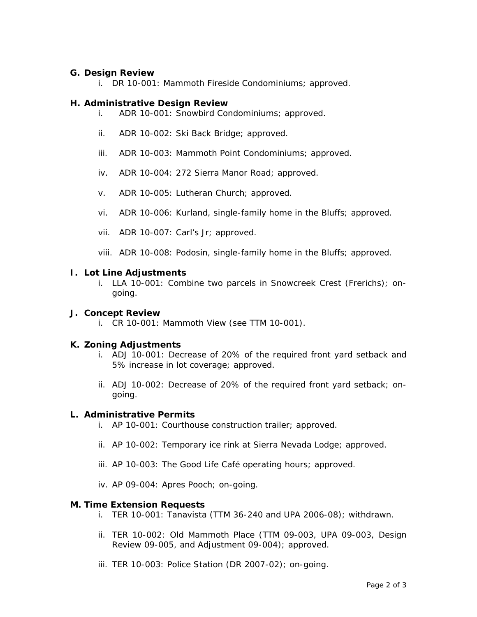### **G. Design Review**

i. DR 10-001: Mammoth Fireside Condominiums; approved.

#### **H. Administrative Design Review**

- i. ADR 10-001: Snowbird Condominiums; approved.
- ii. ADR 10-002: Ski Back Bridge; approved.
- iii. ADR 10-003: Mammoth Point Condominiums; approved.
- iv. ADR 10-004: 272 Sierra Manor Road; approved.
- v. ADR 10-005: Lutheran Church; approved.
- vi. ADR 10-006: Kurland, single-family home in the Bluffs; approved.
- vii. ADR 10-007: Carl's Jr; approved.
- viii. ADR 10-008: Podosin, single-family home in the Bluffs; approved.

### **I. Lot Line Adjustments**

i. LLA 10-001: Combine two parcels in Snowcreek Crest (Frerichs); ongoing.

### **J. Concept Review**

i. CR 10-001: Mammoth View (see TTM 10-001).

### **K. Zoning Adjustments**

- i. ADJ 10-001: Decrease of 20% of the required front yard setback and 5% increase in lot coverage; approved.
- ii. ADJ 10-002: Decrease of 20% of the required front yard setback; ongoing.

### **L. Administrative Permits**

- i. AP 10-001: Courthouse construction trailer; approved.
- ii. AP 10-002: Temporary ice rink at Sierra Nevada Lodge; approved.
- iii. AP 10-003: The Good Life Café operating hours; approved.
- iv. AP 09-004: Apres Pooch; on-going.

### **M. Time Extension Requests**

- i. TER 10-001: Tanavista (TTM 36-240 and UPA 2006-08); withdrawn.
- ii. TER 10-002: Old Mammoth Place (TTM 09-003, UPA 09-003, Design Review 09-005, and Adjustment 09-004); approved.
- iii. TER 10-003: Police Station (DR 2007-02); on-going.